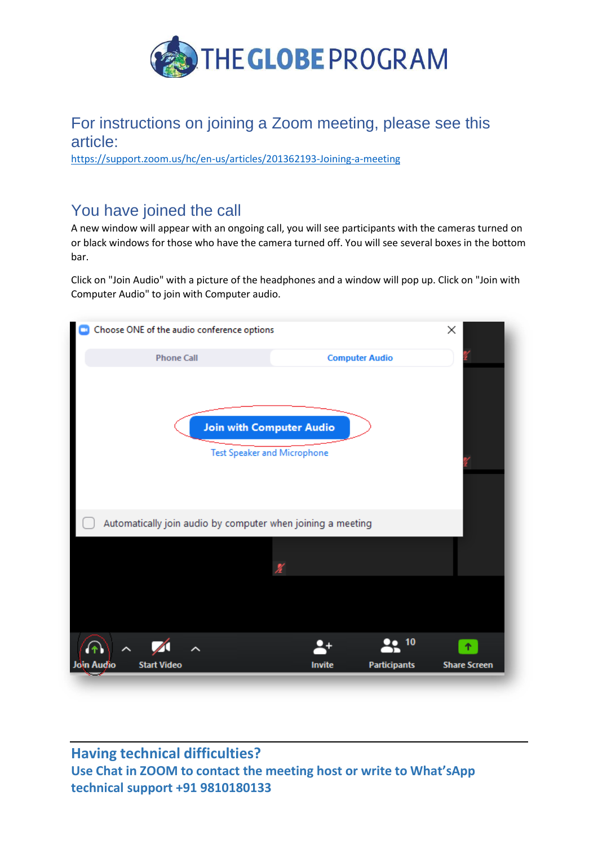

## For instructions on joining a Zoom meeting, please see this article:

<https://support.zoom.us/hc/en-us/articles/201362193-Joining-a-meeting>

# You have joined the call

A new window will appear with an ongoing call, you will see participants with the cameras turned on or black windows for those who have the camera turned off. You will see several boxes in the bottom bar.

Click on "Join Audio" with a picture of the headphones and a window will pop up. Click on "Join with Computer Audio" to join with Computer audio.



### **Having technical difficulties? Use Chat in ZOOM to contact the meeting host or write to What'sApp technical support +91 9810180133**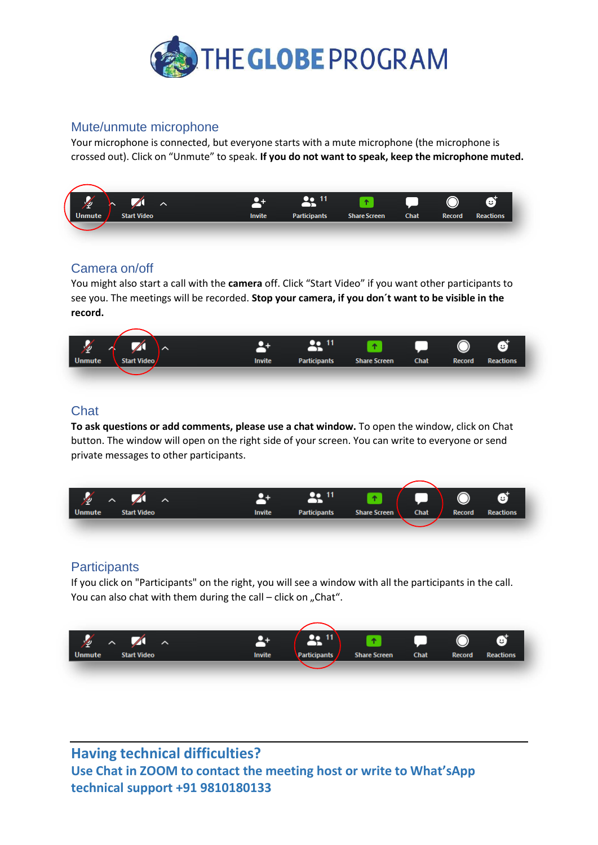

#### Mute/unmute microphone

Your microphone is connected, but everyone starts with a mute microphone (the microphone is crossed out). Click on "Unmute" to speak. **If you do not want to speak, keep the microphone muted.**



#### Camera on/off

You might also start a call with the **camera** off. Click "Start Video" if you want other participants to see you. The meetings will be recorded. **Stop your camera, if you don´t want to be visible in the record.**



### **Chat**

**To ask questions or add comments, please use a chat window.** To open the window, click on Chat button. The window will open on the right side of your screen. You can write to everyone or send private messages to other participants.



#### **Participants**

If you click on "Participants" on the right, you will see a window with all the participants in the call. You can also chat with them during the call  $-$  click on "Chat".



**Having technical difficulties? Use Chat in ZOOM to contact the meeting host or write to What'sApp technical support +91 9810180133**